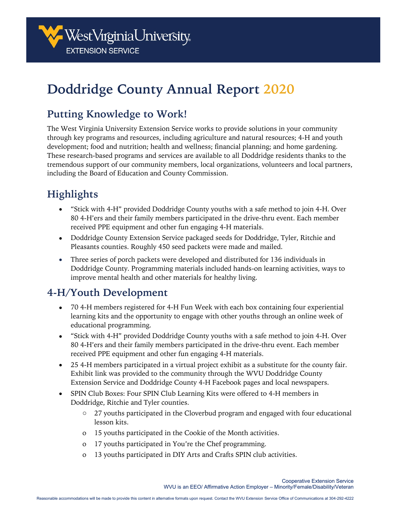

# **Doddridge County Annual Report 2020**

### **Putting Knowledge to Work!**

The West Virginia University Extension Service works to provide solutions in your community through key programs and resources, including agriculture and natural resources; 4-H and youth development; food and nutrition; health and wellness; financial planning; and home gardening. These research-based programs and services are available to all Doddridge residents thanks to the tremendous support of our community members, local organizations, volunteers and local partners, including the Board of Education and County Commission.

## **Highlights**

- "Stick with 4-H" provided Doddridge County youths with a safe method to join 4-H. Over 80 4-H'ers and their family members participated in the drive-thru event. Each member received PPE equipment and other fun engaging 4-H materials.
- Doddridge County Extension Service packaged seeds for Doddridge, Tyler, Ritchie and Pleasants counties. Roughly 450 seed packets were made and mailed.
- Three series of porch packets were developed and distributed for 136 individuals in Doddridge County. Programming materials included hands-on learning activities, ways to improve mental health and other materials for healthy living.

#### **4-H/Youth Development**

- 70 4-H members registered for 4-H Fun Week with each box containing four experiential learning kits and the opportunity to engage with other youths through an online week of educational programming.
- "Stick with 4-H" provided Doddridge County youths with a safe method to join 4-H. Over 80 4-H'ers and their family members participated in the drive-thru event. Each member received PPE equipment and other fun engaging 4-H materials.
- 25 4-H members participated in a virtual project exhibit as a substitute for the county fair. Exhibit link was provided to the community through the WVU Doddridge County Extension Service and Doddridge County 4-H Facebook pages and local newspapers.
- SPIN Club Boxes: Four SPIN Club Learning Kits were offered to 4-H members in Doddridge, Ritchie and Tyler counties.
	- $\circ$  27 youths participated in the Cloverbud program and engaged with four educational lesson kits.
	- o 15 youths participated in the Cookie of the Month activities.
	- o 17 youths participated in You're the Chef programming.
	- o 13 youths participated in DIY Arts and Crafts SPIN club activities.